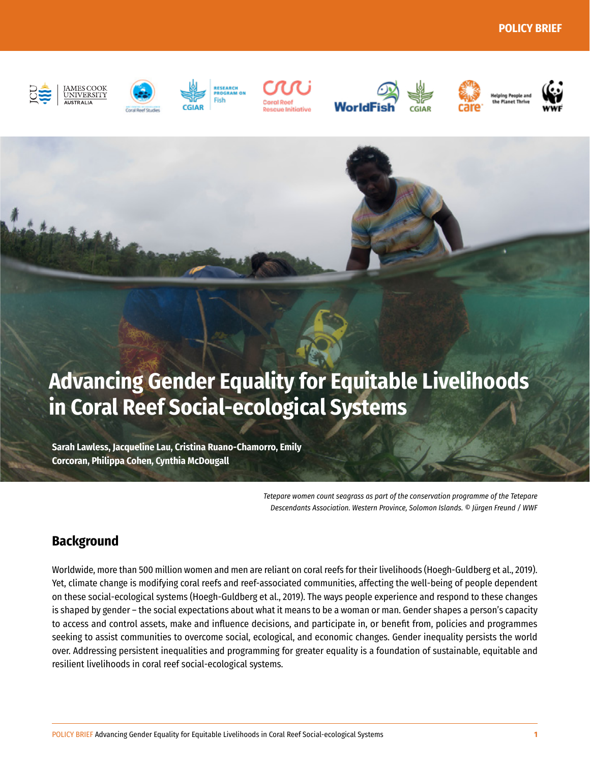



imm

















# **Advancing Gender Equality for Equitable Livelihoods in Coral Reef Social-ecological Systems**

**Sarah Lawless, Jacqueline Lau, Cristina Ruano-Chamorro, Emily Corcoran, Philippa Cohen, Cynthia McDougall**

> *Tetepare women count seagrass as part of the conservation programme of the Tetepare Descendants Association. Western Province, Solomon Islands. © Jürgen Freund / WWF*

## **Background**

Worldwide, more than 500 million women and men are reliant on coral reefs for their livelihoods (Hoegh-Guldberg et al., 2019). Yet, climate change is modifying coral reefs and reef-associated communities, affecting the well-being of people dependent on these social-ecological systems (Hoegh-Guldberg et al., 2019). The ways people experience and respond to these changes is shaped by gender – the social expectations about what it means to be a woman or man. Gender shapes a person's capacity to access and control assets, make and influence decisions, and participate in, or benefit from, policies and programmes seeking to assist communities to overcome social, ecological, and economic changes. Gender inequality persists the world over. Addressing persistent inequalities and programming for greater equality is a foundation of sustainable, equitable and resilient livelihoods in coral reef social-ecological systems.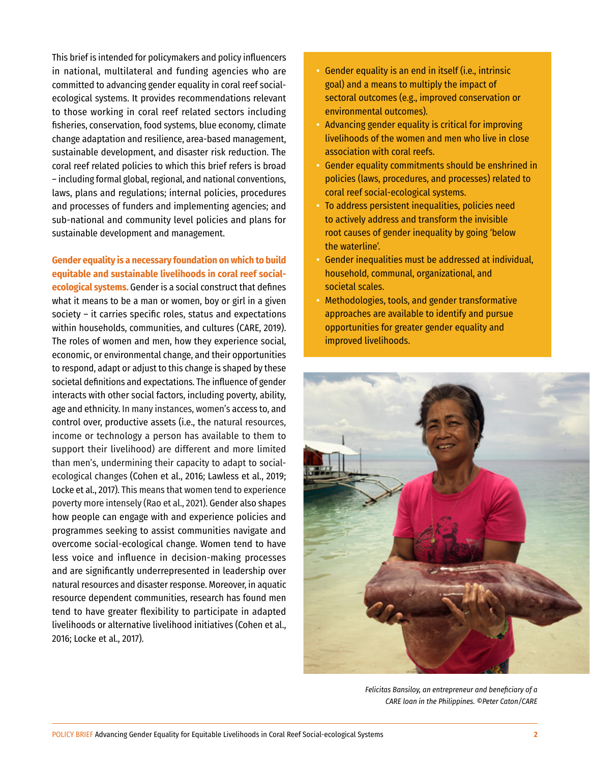This brief is intended for policymakers and policy influencers in national, multilateral and funding agencies who are committed to advancing gender equality in coral reef socialecological systems. It provides recommendations relevant to those working in coral reef related sectors including fisheries, conservation, food systems, blue economy, climate change adaptation and resilience, area-based management, sustainable development, and disaster risk reduction. The coral reef related policies to which this brief refers is broad – including formal global, regional, and national conventions, laws, plans and regulations; internal policies, procedures and processes of funders and implementing agencies; and sub-national and community level policies and plans for sustainable development and management.

#### **Gender equality is a necessary foundation on which to build equitable and sustainable livelihoods in coral reef social-**

**ecological systems.** Gender is a social construct that defines what it means to be a man or women, boy or girl in a given society – it carries specific roles, status and expectations within households, communities, and cultures (CARE, 2019). The roles of women and men, how they experience social, economic, or environmental change, and their opportunities to respond, adapt or adjust to this change is shaped by these societal definitions and expectations. The influence of gender interacts with other social factors, including poverty, ability, age and ethnicity. In many instances, women's access to, and control over, productive assets (i.e., the natural resources, income or technology a person has available to them to support their livelihood) are different and more limited than men's, undermining their capacity to adapt to socialecological changes (Cohen et al., 2016; Lawless et al., 2019; Locke et al., 2017). This means that women tend to experience poverty more intensely (Rao et al., 2021). Gender also shapes how people can engage with and experience policies and programmes seeking to assist communities navigate and overcome social-ecological change. Women tend to have less voice and influence in decision-making processes and are significantly underrepresented in leadership over natural resources and disaster response. Moreover, in aquatic resource dependent communities, research has found men tend to have greater flexibility to participate in adapted livelihoods or alternative livelihood initiatives (Cohen et al., 2016; Locke et al., 2017).

- **•** Gender equality is an end in itself (i.e., intrinsic goal) and a means to multiply the impact of sectoral outcomes (e.g., improved conservation or environmental outcomes).
- **•** Advancing gender equality is critical for improving livelihoods of the women and men who live in close association with coral reefs.
- **•** Gender equality commitments should be enshrined in policies (laws, procedures, and processes) related to coral reef social-ecological systems.
- **•** To address persistent inequalities, policies need to actively address and transform the invisible root causes of gender inequality by going 'below the waterline'.
- **•** Gender inequalities must be addressed at individual, household, communal, organizational, and societal scales.
- **•** Methodologies, tools, and gender transformative approaches are available to identify and pursue opportunities for greater gender equality and improved livelihoods.



*Felicitas Bansiloy, an entrepreneur and beneficiary of a CARE loan in the Philippines. ©Peter Caton/CARE*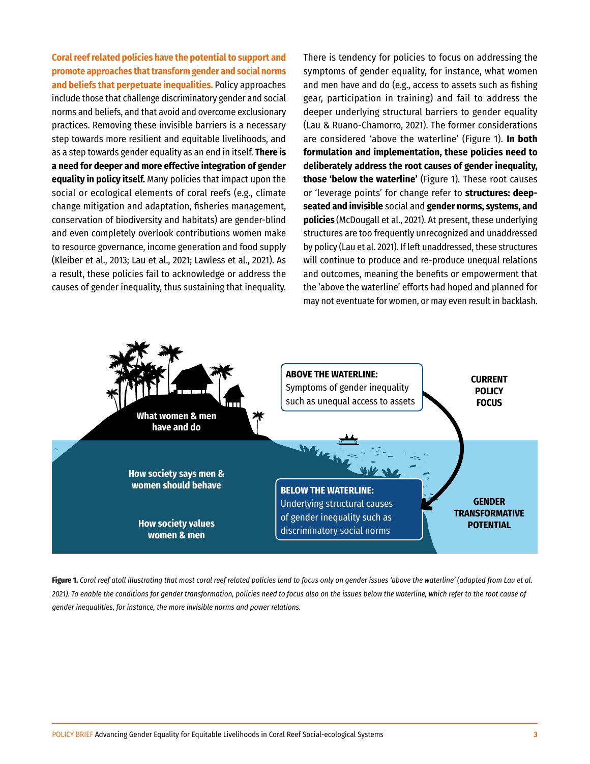**Coral reef related policies have the potential to support and promote approaches that transform gender and social norms and beliefs that perpetuate inequalities.** Policy approaches include those that challenge discriminatory gender and social norms and beliefs, and that avoid and overcome exclusionary practices. Removing these invisible barriers is a necessary step towards more resilient and equitable livelihoods, and as a step towards gender equality as an end in itself. **There is a need for deeper and more effective integration of gender equality in policy itself.** Many policies that impact upon the social or ecological elements of coral reefs (e.g., climate change mitigation and adaptation, fisheries management, conservation of biodiversity and habitats) are gender-blind and even completely overlook contributions women make to resource governance, income generation and food supply (Kleiber et al., 2013; Lau et al., 2021; Lawless et al., 2021). As a result, these policies fail to acknowledge or address the causes of gender inequality, thus sustaining that inequality. There is tendency for policies to focus on addressing the symptoms of gender equality, for instance, what women and men have and do (e.g., access to assets such as fishing gear, participation in training) and fail to address the deeper underlying structural barriers to gender equality (Lau & Ruano-Chamorro, 2021). The former considerations are considered 'above the waterline' (Figure 1). **In both formulation and implementation, these policies need to deliberately address the root causes of gender inequality, those 'below the waterline'** (Figure 1). These root causes or 'leverage points' for change refer to **structures: deepseated and invisible** social and **gender norms, systems, and policies** (McDougall et al., 2021). At present, these underlying structures are too frequently unrecognized and unaddressed by policy (Lau et al. 2021). If left unaddressed, these structures will continue to produce and re-produce unequal relations and outcomes, meaning the benefits or empowerment that the 'above the waterline' efforts had hoped and planned for may not eventuate for women, or may even result in backlash.



**Figure 1.** *Coral reef atoll illustrating that most coral reef related policies tend to focus only on gender issues 'above the waterline' (adapted from Lau et al. 2021). To enable the conditions for gender transformation, policies need to focus also on the issues below the waterline, which refer to the root cause of gender inequalities, for instance, the more invisible norms and power relations.*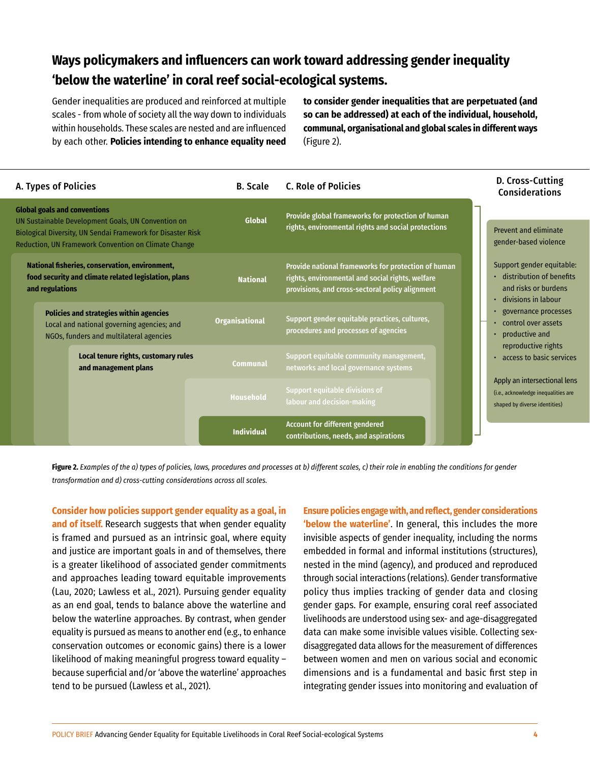# **Ways policymakers and influencers can work toward addressing gender inequality 'below the waterline' in coral reef social-ecological systems.**

Gender inequalities are produced and reinforced at multiple scales - from whole of society all the way down to individuals within households. These scales are nested and are influenced by each other. **Policies intending to enhance equality need**  **to consider gender inequalities that are perpetuated (and so can be addressed) at each of the individual, household, communal, organisational and global scales in different ways** (Figure 2).

| A. Types of Policies                                                                                                                                                                                             |                                                                                                                           |                                                                                                                                  | <b>B.</b> Scale                                                                                          | <b>C. Role of Policies</b>                                                                                                                                 | D. Cross-Cutting<br><b>Considerations</b>                                                                                                                                                                                  |
|------------------------------------------------------------------------------------------------------------------------------------------------------------------------------------------------------------------|---------------------------------------------------------------------------------------------------------------------------|----------------------------------------------------------------------------------------------------------------------------------|----------------------------------------------------------------------------------------------------------|------------------------------------------------------------------------------------------------------------------------------------------------------------|----------------------------------------------------------------------------------------------------------------------------------------------------------------------------------------------------------------------------|
| <b>Global goals and conventions</b><br>UN Sustainable Development Goals, UN Convention on<br>Biological Diversity, UN Sendai Framework for Disaster Risk<br>Reduction, UN Framework Convention on Climate Change |                                                                                                                           | <b>Global</b>                                                                                                                    | Provide global frameworks for protection of human<br>rights, environmental rights and social protections | <b>Prevent and eliminate</b><br>gender-based violence                                                                                                      |                                                                                                                                                                                                                            |
|                                                                                                                                                                                                                  | National fisheries, conservation, environment,<br>food security and climate related legislation, plans<br>and regulations |                                                                                                                                  | <b>National</b>                                                                                          | Provide national frameworks for protection of human<br>rights, environmental and social rights, welfare<br>provisions, and cross-sectoral policy alignment | Support gender equitable:<br>· distribution of benefits<br>and risks or burdens<br>divisions in labour<br>$\bullet$                                                                                                        |
|                                                                                                                                                                                                                  |                                                                                                                           | Policies and strategies within agencies<br>Local and national governing agencies; and<br>NGOs, funders and multilateral agencies | <b>Organisational</b>                                                                                    | Support gender equitable practices, cultures,<br>procedures and processes of agencies                                                                      | governance processes<br>control over assets<br>productive and<br>reproductive rights<br>• access to basic services<br>Apply an intersectional lens<br>(i.e., acknowledge inequalities are<br>shaped by diverse identities) |
|                                                                                                                                                                                                                  |                                                                                                                           | Local tenure rights, customary rules<br>and management plans                                                                     | <b>Communal</b>                                                                                          | Support equitable community management,<br>networks and local governance systems                                                                           |                                                                                                                                                                                                                            |
|                                                                                                                                                                                                                  |                                                                                                                           |                                                                                                                                  | <b>Household</b>                                                                                         | Support equitable divisions of<br>labour and decision-making                                                                                               |                                                                                                                                                                                                                            |
|                                                                                                                                                                                                                  |                                                                                                                           |                                                                                                                                  | <b>Individual</b>                                                                                        | Account for different gendered<br>contributions, needs, and aspirations                                                                                    |                                                                                                                                                                                                                            |

**Figure 2.** *Examples of the a) types of policies, laws, procedures and processes at b) different scales, c) their role in enabling the conditions for gender transformation and d) cross-cutting considerations across all scales.* 

**Consider how policies support gender equality as a goal, in and of itself.** Research suggests that when gender equality is framed and pursued as an intrinsic goal, where equity and justice are important goals in and of themselves, there is a greater likelihood of associated gender commitments and approaches leading toward equitable improvements (Lau, 2020; Lawless et al., 2021). Pursuing gender equality as an end goal, tends to balance above the waterline and below the waterline approaches. By contrast, when gender equality is pursued as means to another end (e.g., to enhance conservation outcomes or economic gains) there is a lower likelihood of making meaningful progress toward equality – because superficial and/or 'above the waterline' approaches tend to be pursued (Lawless et al., 2021).

**Ensure policies engage with, and reflect, gender considerations 'below the waterline'**. In general, this includes the more invisible aspects of gender inequality, including the norms embedded in formal and informal institutions (structures), nested in the mind (agency), and produced and reproduced through social interactions (relations). Gender transformative policy thus implies tracking of gender data and closing gender gaps. For example, ensuring coral reef associated livelihoods are understood using sex- and age-disaggregated data can make some invisible values visible. Collecting sexdisaggregated data allows for the measurement of differences between women and men on various social and economic dimensions and is a fundamental and basic first step in integrating gender issues into monitoring and evaluation of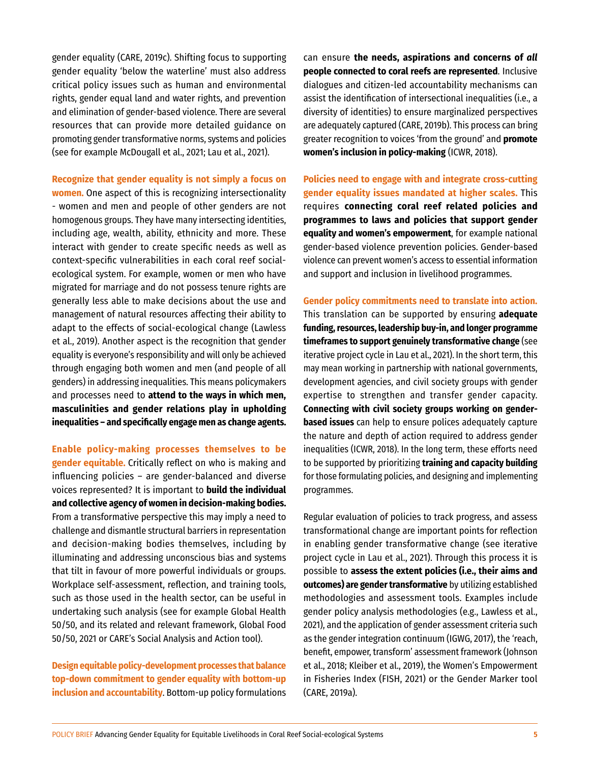gender equality (CARE, 2019c). Shifting focus to supporting gender equality 'below the waterline' must also address critical policy issues such as human and environmental rights, gender equal land and water rights, and prevention and elimination of gender-based violence. There are several resources that can provide more detailed guidance on promoting gender transformative norms, systems and policies (see for example McDougall et al., 2021; Lau et al., 2021).

**Recognize that gender equality is not simply a focus on women.** One aspect of this is recognizing intersectionality - women and men and people of other genders are not homogenous groups. They have many intersecting identities, including age, wealth, ability, ethnicity and more. These interact with gender to create specific needs as well as context-specific vulnerabilities in each coral reef socialecological system. For example, women or men who have migrated for marriage and do not possess tenure rights are generally less able to make decisions about the use and management of natural resources affecting their ability to adapt to the effects of social-ecological change (Lawless et al., 2019). Another aspect is the recognition that gender equality is everyone's responsibility and will only be achieved through engaging both women and men (and people of all genders) in addressing inequalities. This means policymakers and processes need to **attend to the ways in which men, masculinities and gender relations play in upholding inequalities – and specifically engage men as change agents.**

**Enable policy-making processes themselves to be gender equitable.** Critically reflect on who is making and influencing policies – are gender-balanced and diverse voices represented? It is important to **build the individual and collective agency of women in decision-making bodies.**  From a transformative perspective this may imply a need to challenge and dismantle structural barriers in representation and decision-making bodies themselves, including by illuminating and addressing unconscious bias and systems that tilt in favour of more powerful individuals or groups. Workplace self-assessment, reflection, and training tools, such as those used in the health sector, can be useful in undertaking such analysis (see for example Global Health 50/50, and its related and relevant framework, Global Food 50/50, 2021 or CARE's Social Analysis and Action tool).

**Design equitable policy-development processes that balance top-down commitment to gender equality with bottom-up inclusion and accountability**. Bottom-up policy formulations can ensure **the needs, aspirations and concerns of** *all* **people connected to coral reefs are represented**. Inclusive dialogues and citizen-led accountability mechanisms can assist the identification of intersectional inequalities (i.e., a diversity of identities) to ensure marginalized perspectives are adequately captured (CARE, 2019b). This process can bring greater recognition to voices 'from the ground' and **promote women's inclusion in policy-making** (ICWR, 2018).

**Policies need to engage with and integrate cross-cutting gender equality issues mandated at higher scales.** This requires **connecting coral reef related policies and programmes to laws and policies that support gender equality and women's empowerment**, for example national gender-based violence prevention policies. Gender-based violence can prevent women's access to essential information and support and inclusion in livelihood programmes.

**Gender policy commitments need to translate into action.**  This translation can be supported by ensuring **adequate funding, resources, leadership buy-in, and longer programme timeframes to support genuinely transformative change** (see iterative project cycle in Lau et al., 2021). In the short term, this may mean working in partnership with national governments, development agencies, and civil society groups with gender expertise to strengthen and transfer gender capacity. **Connecting with civil society groups working on genderbased issues** can help to ensure polices adequately capture the nature and depth of action required to address gender inequalities (ICWR, 2018). In the long term, these efforts need to be supported by prioritizing **training and capacity building** for those formulating policies, and designing and implementing programmes.

Regular evaluation of policies to track progress, and assess transformational change are important points for reflection in enabling gender transformative change (see iterative project cycle in Lau et al., 2021). Through this process it is possible to **assess the extent policies (i.e., their aims and outcomes) are gender transformative** by utilizing established methodologies and assessment tools. Examples include gender policy analysis methodologies (e.g., Lawless et al., 2021), and the application of gender assessment criteria such as the gender integration continuum (IGWG, 2017), the 'reach, benefit, empower, transform' assessment framework (Johnson et al., 2018; Kleiber et al., 2019), the Women's Empowerment in Fisheries Index (FISH, 2021) or the Gender Marker tool (CARE, 2019a).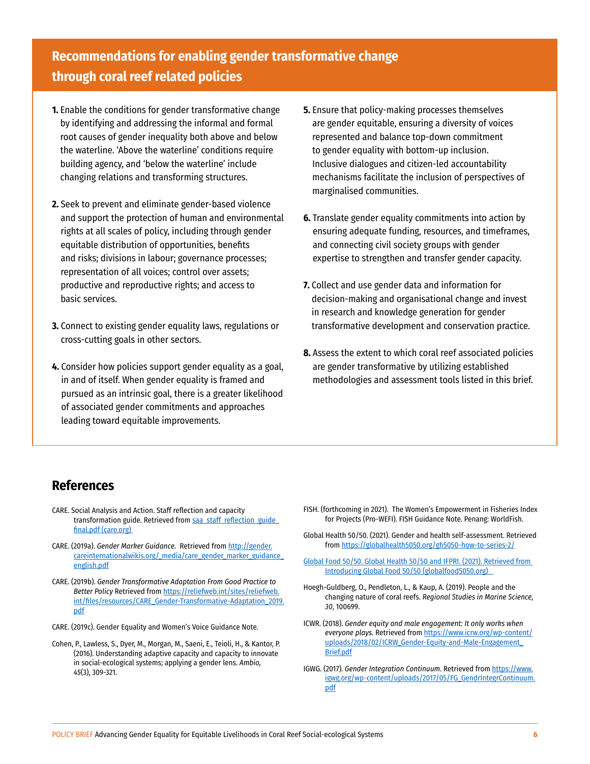## **Recommendations for enabling gender transformative change through coral reef related policies**

- **1.** Enable the conditions for gender transformative change by identifying and addressing the informal and formal root causes of gender inequality both above and below the waterline. 'Above the waterline' conditions require building agency, and 'below the waterline' include changing relations and transforming structures.
- **2.** Seek to prevent and eliminate gender-based violence and support the protection of human and environmental rights at all scales of policy, including through gender equitable distribution of opportunities, benefits and risks; divisions in labour; governance processes; representation of all voices; control over assets; productive and reproductive rights; and access to basic services.
- **3.** Connect to existing gender equality laws, regulations or cross-cutting goals in other sectors.
- **4.** Consider how policies support gender equality as a goal, in and of itself. When gender equality is framed and pursued as an intrinsic goal, there is a greater likelihood of associated gender commitments and approaches leading toward equitable improvements.
- **5.** Ensure that policy-making processes themselves are gender equitable, ensuring a diversity of voices represented and balance top-down commitment to gender equality with bottom-up inclusion. Inclusive dialogues and citizen-led accountability mechanisms facilitate the inclusion of perspectives of marginalised communities.
- **6.** Translate gender equality commitments into action by ensuring adequate funding, resources, and timeframes, and connecting civil society groups with gender expertise to strengthen and transfer gender capacity.
- **7.** Collect and use gender data and information for decision-making and organisational change and invest in research and knowledge generation for gender transformative development and conservation practice.
- **8.** Assess the extent to which coral reef associated policies are gender transformative by utilizing established methodologies and assessment tools listed in this brief.

### **References**

- CARE. Social Analysis and Action. Staff reflection and capacity transformation guide. Retrieved from [saa\\_staff\\_reflection\\_guide\\_](https://www.care.org/wp-content/uploads/2020/08/saa_staff_reflection_guide_final.pdf) [final.pdf \(care.org\)](https://www.care.org/wp-content/uploads/2020/08/saa_staff_reflection_guide_final.pdf)
- CARE. (2019a). *Gender Marker Guidance.* Retrieved from [http://gender.](http://gender.careinternationalwikis.org/_media/care_gender_marker_guidance_english.pdf) [careinternationalwikis.org/\\_media/care\\_gender\\_marker\\_guidance\\_](http://gender.careinternationalwikis.org/_media/care_gender_marker_guidance_english.pdf) [english.pdf](http://gender.careinternationalwikis.org/_media/care_gender_marker_guidance_english.pdf)
- CARE. (2019b). *Gender Transformative Adaptation From Good Practice to Better Policy* Retrieved from [https://reliefweb.int/sites/reliefweb.](https://reliefweb.int/sites/reliefweb.int/files/resources/CARE_Gender-Transformative-Adaptation_2019.pdf) [int/files/resources/CARE\\_Gender-Transformative-Adaptation\\_2019.](https://reliefweb.int/sites/reliefweb.int/files/resources/CARE_Gender-Transformative-Adaptation_2019.pdf) [pdf](https://reliefweb.int/sites/reliefweb.int/files/resources/CARE_Gender-Transformative-Adaptation_2019.pdf)
- CARE. (2019c). Gender Equality and Women's Voice Guidance Note.
- Cohen, P., Lawless, S., Dyer, M., Morgan, M., Saeni, E., Teioli, H., & Kantor, P. (2016). Understanding adaptive capacity and capacity to innovate in social-ecological systems; applying a gender lens. *Ambio, 45*(3), 309-321.
- FISH. (forthcoming in 2021). The Women's Empowerment in Fisheries Index for Projects (Pro-WEFI). FISH Guidance Note. Penang: WorldFish.
- Global Health 50/50. (2021). Gender and health self-assessment. Retrieved from <https://globalhealth5050.org/gh5050-how-to-series-2/>
- Global Food 50/50. Global Health 50/50 and IFPRI. (2021). Retrieved from [Introducing Global Food 50/50 \(globalfood5050.org\)](https://globalfood5050.org/wp-content/themes/gf5050/media/REPORT_2021_GlobalFood5050_Web.pdf)
- Hoegh-Guldberg, O., Pendleton, L., & Kaup, A. (2019). People and the changing nature of coral reefs. *Regional Studies in Marine Science, 30*, 100699.
- ICWR. (2018). *Gender equity and male engagement: It only works when everyone plays.* Retrieved from [https://www.icrw.org/wp-content/](https://www.icrw.org/wp-content/uploads/2018/02/ICRW_Gender-Equity-and-Male-Engagement_Brief.pdf) [uploads/2018/02/ICRW\\_Gender-Equity-and-Male-Engagement\\_](https://www.icrw.org/wp-content/uploads/2018/02/ICRW_Gender-Equity-and-Male-Engagement_Brief.pdf) [Brief.pdf](https://www.icrw.org/wp-content/uploads/2018/02/ICRW_Gender-Equity-and-Male-Engagement_Brief.pdf)
- IGWG. (2017). *Gender Integration Continuum*. Retrieved from [https://www.](https://www.igwg.org/wp-content/uploads/2017/05/FG_GendrIntegrContinuum.pdf) [igwg.org/wp-content/uploads/2017/05/FG\\_GendrIntegrContinuum.](https://www.igwg.org/wp-content/uploads/2017/05/FG_GendrIntegrContinuum.pdf) [pdf](https://www.igwg.org/wp-content/uploads/2017/05/FG_GendrIntegrContinuum.pdf)